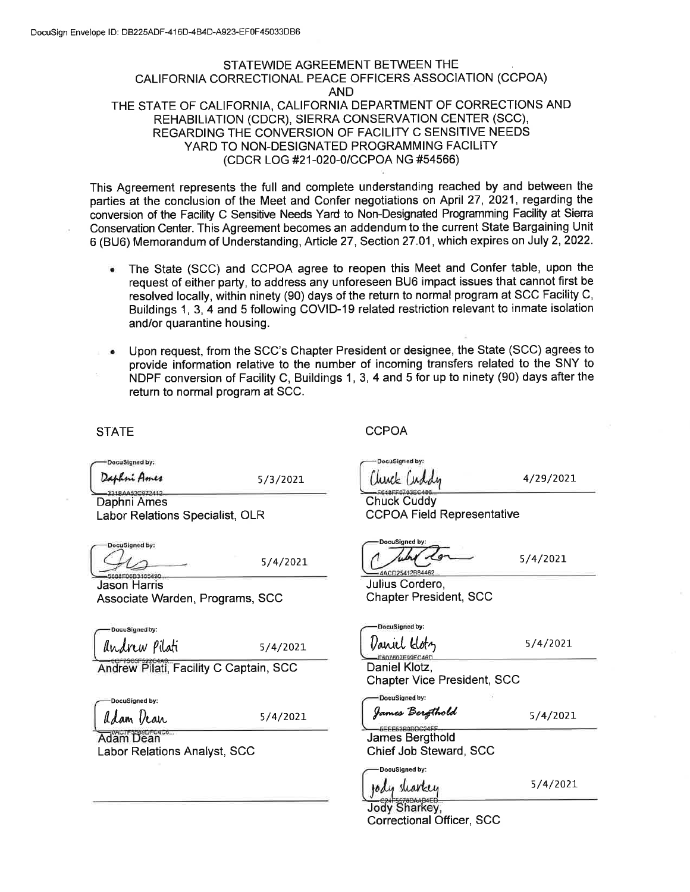## STATEWIDE AGREEMENT BETWEEN THE CALIFORNIA CORRECTIONAL PEACE OFFICERS ASSOCIATION (CCPOA) AND THE STATE OF CALIFORNIA, CALIFORNIA DEPARTMENT OF CORRECTIONS AND REHABILIATION (CDCR), SIERRA CONSERVATION CENTER (SCC), REGARDING THE CONVERSION OF FACILITY C SENSITIVE NEEDS YARD TO NON-DESIGNATED PROGRAMMING FACILITY (CDCR LOG #21-020-0/CCPOA NG #54566)

This Agreement represents the full and complete understanding reached by and between the parties at the conclusion of the Meet and Confer negotiations on April 27, 2021, regarding the conversion of the Facility C Sensitive Needs Yard to Non-Designated Programming Facility at Sierra Conservation Center. This Agreement becomes an addendum to the current State Bargaining Unit 6 (BU6) Memorandum of Understanding, Article 27, Section 27.01, which expires on July 2, 2022.

- The State (SCC) and CCPOA agree to reopen this Meet and Confer table, upon the  $\bullet$ request of either party, to address any unforeseen BU6 impact issues that cannot first be resolved locally, within ninety (90) days of the return to normal program at SCC Facility C, Buildings 1, 3, 4 and 5 following COVID-19 related restriction relevant to inmate isolation and/or quarantine housing.
- Upon request, from the SCC's Chapter President or designee, the State (SCC) agrees to provide information relative to the number of incoming transfers related to the SNY to NDPF conversion of Facility C, Buildings 1, 3, 4 and 5 for up to ninety (90) days after the return to normal program at SCC.

**STATE** 

DocuSigned by:

Daphni Ames

5/3/2021

Daphni Ames Labor Relations Specialist, OLR

DocuSigned by: 8850683165490

5/4/2021

**Jason Harris** Associate Warden, Programs, SCC

-DocuSianed by: *Andrew Pilati* 

5/4/2021

Andrew Pilati, Facility C Captain, SCC

DocuSigned by:

adam Vean

5/4/2021

Adam Dean **Labor Relations Analyst, SCC**  **CCPOA** 

DocuSigned by:

4/29/2021

**Chuck Cuddy CCPOA Field Representative** 

ocuSigned by: ACD25412B84462

5/4/2021

Julius Cordero, **Chapter President, SCC** 

DocuSigned by: *Variel klotz* 

 $5/4/2021$ 

F607607F99FC46D Daniel Klotz. **Chapter Vice President, SCC** 

DocuSigned by: James Bergthold

DocuSigned by:

 $5/4/2021$ 

James Bergthold Chief Job Steward, SCC

 $5/4/2021$ 

sharkey 10 d Jody Sharkey.

Correctional Officer, SCC